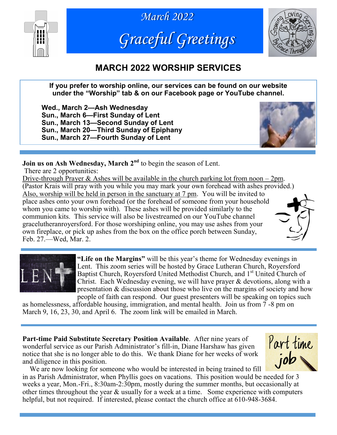





# **MARCH 2022 WORSHIP SERVICES**

**If you prefer to worship online, our services can be found on our website under the "Worship" tab & on our Facebook page or YouTube channel.**

**Wed., March 2—Ash Wednesday Sun., March 6—First Sunday of Lent Sun., March 13—Second Sunday of Lent Sun., March 20—Third Sunday of Epiphany Sun., March 27—Fourth Sunday of Lent**



**Join us on Ash Wednesday, March 2<sup>nd</sup>** to begin the season of Lent.

There are 2 opportunities:

Drive-through Prayer & Ashes will be available in the church parking lot from noon  $-2$ pm. (Pastor Krais will pray with you while you may mark your own forehead with ashes provided.) Also, worship will be held in person in the sanctuary at 7 pm. You will be invited to place ashes onto your own forehead (or the forehead of someone from your household whom you came to worship with). These ashes will be provided similarly to the communion kits. This service will also be livestreamed on our YouTube channel gracelutheranroyersford. For those worshiping online, you may use ashes from your own fireplace, or pick up ashes from the box on the office porch between Sunday, Feb. 27.—Wed, Mar. 2.





**"Life on the Margins"** will be this year's theme for Wednesday evenings in Lent. This zoom series will be hosted by Grace Lutheran Church, Royersford Baptist Church, Royersford United Methodist Church, and 1<sup>st</sup> United Church of Christ. Each Wednesday evening, we will have prayer & devotions, along with a presentation & discussion about those who live on the margins of society and how people of faith can respond. Our guest presenters will be speaking on topics such

as homelessness, affordable housing, immigration, and mental health. Join us from 7 -8 pm on March 9, 16, 23, 30, and April 6. The zoom link will be emailed in March.

**Part-time Paid Substitute Secretary Position Available**. After nine years of wonderful service as our Parish Administrator's fill-in, Diane Harshaw has given notice that she is no longer able to do this. We thank Diane for her weeks of work and diligence in this position.



 We are now looking for someone who would be interested in being trained to fill in as Parish Administrator, when Phyllis goes on vacations. This position would be needed for 3 weeks a year, Mon.-Fri., 8:30am-2:30pm, mostly during the summer months, but occasionally at other times throughout the year & usually for a week at a time. Some experience with computers helpful, but not required. If interested, please contact the church office at 610-948-3684.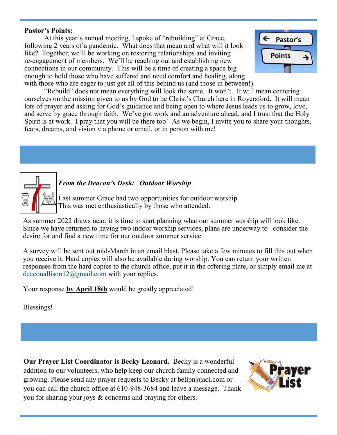#### **Pastor's Points:**

At this year's annual meeting, I spoke of "rebuilding" at Grace, following 2 years of a pandemic. What does that mean and what will it look like? Together, we'll be working on restoring relationships and inviting re-engagement of members. We'll be reaching out and establishing new connections in our community. This will be a time of creating a space big enough to hold those who have suffered and need comfort and healing, along with those who are eager to just get all of this behind us (and those in between!).



"Rebuild" does not mean everything will look the same. It won't. It will mean centering ourselves on the mission given to us by God to be Christ's Church here in Royersford. It will mean lots of prayer and asking for God's guidance and being open to where Jesus leads us to grow, love, and serve by grace through faith. We've got work and an adventure ahead, and I trust that the Holy Spirit is at work. I pray that you will be there too! As we begin, I invite you to share your thoughts, fears, dreams, and vision via phone or email, or in person with me!



#### *From the Deacon's Desk: Outdoor Worship*

Last summer Grace had two opportunities for outdoor worship. This was met enthusiastically by those who attended.

As summer 2022 draws near, it is time to start planning what our summer worship will look like. Since we have returned to having two indoor worship services, plans are underway to consider the desire for and find a new time for our outdoor summer service.

A survey will be sent out mid-March in an email blast. Please take a few minutes to fill this out when you receive it. Hard copies will also be available during worship. You can return your written responses from the hard copies to the church office, put it in the offering plate, or simply email me at [deaconallison12@gmail.com](mailto:deaconallison12@gmail.com) with your replies.

Your response by April 18th would be greatly appreciated!

Blessings!

**Our Prayer List Coordinator is Becky Leonard.** Becky is a wonderful addition to our volunteers, who help keep our church family connected and growing. Please send any prayer requests to Becky at bellpn@aol.com or you can call the church office at 610-948-3684 and leave a message. Thank you for sharing your joys & concerns and praying for others.

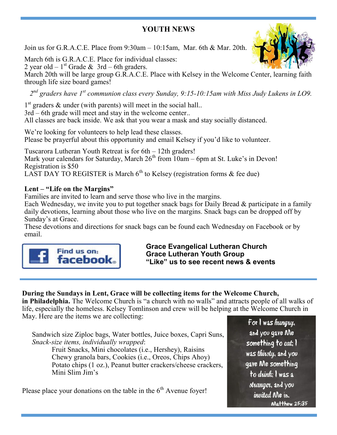## **YOUTH NEWS**

Join us for G.R.A.C.E. Place from 9:30am – 10:15am, Mar. 6th & Mar. 20th.

March 6th is G.R.A.C.E. Place for individual classes: 2 year old  $-1<sup>st</sup>$  Grade & 3rd  $-$  6th graders.

March 20th will be large group G.R.A.C.E. Place with Kelsey in the Welcome Center, learning faith through life size board games!

*2 nd graders have 1st communion class every Sunday, 9:15-10:15am with Miss Judy Lukens in LO9.*

1<sup>st</sup> graders & under (with parents) will meet in the social hall.. 3rd – 6th grade will meet and stay in the welcome center.. All classes are back inside. We ask that you wear a mask and stay socially distanced.

We're looking for volunteers to help lead these classes. Please be prayerful about this opportunity and email Kelsey if you'd like to volunteer.

Tuscarora Lutheran Youth Retreat is for 6th – 12th graders! Mark your calendars for Saturday, March  $26<sup>th</sup>$  from  $10am - 6pm$  at St. Luke's in Devon! Registration is \$50 LAST DAY TO REGISTER is March  $6<sup>th</sup>$  to Kelsey (registration forms & fee due)

### **Lent – "Life on the Margins"**

Families are invited to learn and serve those who live in the margins.

Each Wednesday, we invite you to put together snack bags for Daily Bread & participate in a family daily devotions, learning about those who live on the margins. Snack bags can be dropped off by Sunday's at Grace.

These devotions and directions for snack bags can be found each Wednesday on Facebook or by email.



**Grace Evangelical Lutheran Church Grace Lutheran Youth Group "Like" us to see recent news & events**

### **During the Sundays in Lent, Grace will be collecting items for the Welcome Church,**

**in Philadelphia.** The Welcome Church is "a church with no walls" and attracts people of all walks of life, especially the homeless. Kelsey Tomlinson and crew will be helping at the Welcome Church in May. Here are the items we are collecting:

Sandwich size Ziploc bags, Water bottles, Juice boxes, Capri Suns, *Snack-size items, individually wrapped*:

Fruit Snacks, Mini chocolates (i.e., Hershey), Raisins Chewy granola bars, Cookies (i.e., Oreos, Chips Ahoy) Potato chips (1 oz.), Peanut butter crackers/cheese crackers, Mini Slim Jim's

Please place your donations on the table in the  $6<sup>th</sup>$  Avenue foyer!

For I was hungry, and you gave Me something to eat; I was thirsty, and you gave Me something to drink: I was a stranger, and you *invited* Me in. Matthew 25:35

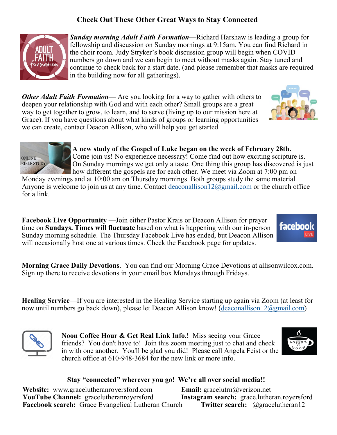### **Check Out These Other Great Ways to Stay Connected**



*Sunday morning Adult Faith Formation—*Richard Harshaw is leading a group for fellowship and discussion on Sunday mornings at 9:15am. You can find Richard in the choir room. Judy Stryker's book discussion group will begin when COVID numbers go down and we can begin to meet without masks again. Stay tuned and continue to check back for a start date. (and please remember that masks are required in the building now for all gatherings).

*Other Adult Faith Formation—* Are you looking for a way to gather with others to deepen your relationship with God and with each other? Small groups are a great way to get together to grow, to learn, and to serve (living up to our mission here at Grace). If you have questions about what kinds of groups or learning opportunities we can create, contact Deacon Allison, who will help you get started.





**A new study of the Gospel of Luke began on the week of February 28th.**  Come join us! No experience necessary! Come find out how exciting scripture is. On Sunday mornings we get only a taste. One thing this group has discovered is just how different the gospels are for each other. We meet via Zoom at 7:00 pm on

Monday evenings and at 10:00 am on Thursday mornings. Both groups study the same material. Anyone is welcome to join us at any time. Contact deaconallison  $12@g$  mail.com or the church office for a link.

**Facebook Live Opportunity —**Join either Pastor Krais or Deacon Allison for prayer time on **Sundays. Times will fluctuate** based on what is happening with our in-person Sunday morning schedule. The Thursday Facebook Live has ended, but Deacon Allison will occasionally host one at various times. Check the Facebook page for updates.



**Morning Grace Daily Devotions**. You can find our Morning Grace Devotions at allisonwilcox.com. Sign up there to receive devotions in your email box Mondays through Fridays.

**Healing Service***—*If you are interested in the Healing Service starting up again via Zoom (at least for now until numbers go back down), please let Deacon Allison know! ([deaconallison12@gmail.com\)](mailto:deaconallison12@gmail.com)



**Noon Coffee Hour & Get Real Link Info.!** Miss seeing your Grace friends? You don't have to! Join this zoom meeting just to chat and check in with one another. You'll be glad you did! Please call Angela Feist or the church office at 610-948-3684 for the new link or more info.



### **Stay "connected" wherever you go! We're all over social media!!**

**Website:** www.gracelutheranroyersford.com **Email:** gracelutrn@verizon.net **YouTube Channel:** gracelutheranroyersford **Instagram search:** grace.lutheran.royersford **Facebook search:** Grace Evangelical Lutheran Church **Twitter search:** @gracelutheran12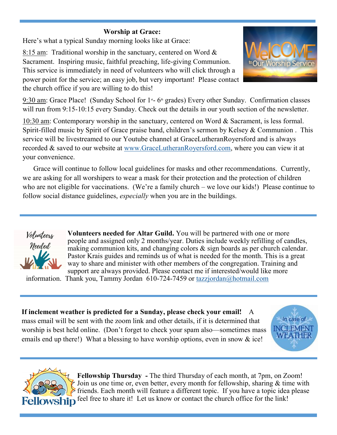### **Worship at Grace:**

Here's what a typical Sunday morning looks like at Grace:

8:15 am: Traditional worship in the sanctuary, centered on Word & Sacrament. Inspiring music, faithful preaching, life-giving Communion. This service is immediately in need of volunteers who will click through a power point for the service; an easy job, but very important! Please contact the church office if you are willing to do this!



9:30 am: Grace Place! (Sunday School for  $1<sup>st</sup>$ - 6<sup>th</sup> grades) Every other Sunday. Confirmation classes will run from 9:15-10:15 every Sunday. Check out the details in our youth section of the newsletter.

10:30 am: Contemporary worship in the sanctuary, centered on Word & Sacrament, is less formal. Spirit-filled music by Spirit of Grace praise band, children's sermon by Kelsey & Communion . This service will be livestreamed to our Youtube channel at GraceLutheranRoyersford and is always recorded & saved to our website at [www.GraceLutheranRoyersford.com,](http://www.GraceLutheranRoyersford.com) where you can view it at your convenience.

 Grace will continue to follow local guidelines for masks and other recommendations. Currently, we are asking for all worshipers to wear a mask for their protection and the protection of children who are not eligible for vaccinations. (We're a family church – we love our kids!) Please continue to follow social distance guidelines, *especially* when you are in the buildings.



**Volunteers needed for Altar Guild.** You will be partnered with one or more people and assigned only 2 months/year. Duties include weekly refilling of candles, making communion kits, and changing colors & sign boards as per church calendar. Pastor Krais guides and reminds us of what is needed for the month. This is a great way to share and minister with other members of the congregation. Training and support are always provided. Please contact me if interested/would like more

information. Thank you, Tammy Jordan 610-724-7459 or [tazzjordan@hotmail.com](mailto:tazzjordan@hotmail.com)

**If inclement weather is predicted for a Sunday, please check your email!** A mass email will be sent with the zoom link and other details, if it is determined that worship is best held online. (Don't forget to check your spam also—sometimes mass emails end up there!) What a blessing to have worship options, even in snow & ice!





**Fellowship Thursday -** The third Thursday of each month, at 7pm, on Zoom! Join us one time or, even better, every month for fellowship, sharing & time with  $\geq$  friends. Each month will feature a different topic. If you have a topic idea please **Fellowship** feel free to share it! Let us know or contact the church office for the link!